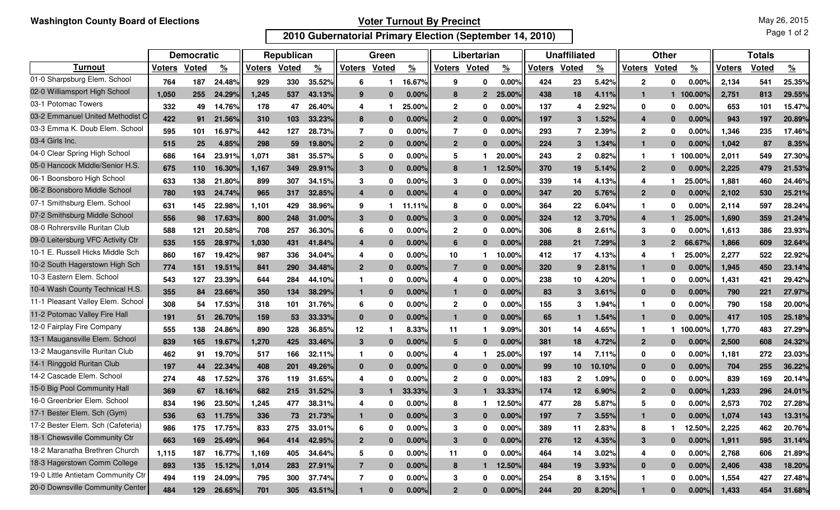## **Voter Turnout By Precinct**

May 26, 2015

Page 1 of 2

## **2010 Gubernatorial Primary Election (September 14, 2010)**

|                                    | <b>Democratic</b> |              |                    | Republican |              |               | Green            |              |               | Libertarian    |              |          | <b>Unaffiliated</b> |                 |          | <b>Other</b>  |                |                 | <b>Totals</b> |              |               |
|------------------------------------|-------------------|--------------|--------------------|------------|--------------|---------------|------------------|--------------|---------------|----------------|--------------|----------|---------------------|-----------------|----------|---------------|----------------|-----------------|---------------|--------------|---------------|
| <b>Turnout</b>                     | <b>Voters</b>     | <b>Voted</b> | $\frac{9}{6}$      | Voters     | <b>Voted</b> | $\frac{9}{6}$ | <b>Voters</b>    | <b>Voted</b> | $\frac{9}{6}$ | <b>Voters</b>  | <b>Voted</b> | <u>%</u> | <b>Voters</b>       | <b>Voted</b>    | <u>%</u> | <b>Voters</b> | Voted          | $\frac{9}{6}$   | Voters        | <b>Voted</b> | $\frac{9}{6}$ |
| 01-0 Sharpsburg Elem. School       | 764               | 187          | 24.48%             | 929        | 330          | 35.52%        | 6                |              | 16.67%        | 9              | 0            | 0.00%    | 424                 | 23              | 5.42%    | $\mathbf{2}$  | 0              | 0.00%           | 2,134         | 541          | 25.35%        |
| 02-0 Williamsport High School      | 1.050             | 255          | 24.29%             | 1,245      | 537          | 43.13%        | 9                | $\bf{0}$     | $0.00\%$      | 8              | $\mathbf{2}$ | 25.00%   | 438                 | 18              | 4.11%    | 1             |                | 100.00°         | 2.751         | 813          | 29.55%        |
| 03-1 Potomac Towers                | 332               | 49           | 14.76°             | 178        | 47           | 26.40%        | 4                |              | 25.00%        | $\mathbf{2}$   | 0            | 0.00%    | 137                 | 4               | 2.92%    | 0             | 0              | 0.00%           | 653           | 101          | 15.47%        |
| 03-2 Emmanuel United Methodist C   | 422               | 91           | 21.56%             | 310        | 103          | 33.23%        | 8                | $\bf{0}$     | $0.00\%$      | $\mathbf{2}$   | $\bf{0}$     | 0.00%    | 197                 | 3               | 1.52%    | 4             | $\bf{0}$       | 0.00%           | 943           | 197          | 20.89%        |
| 03-3 Emma K. Doub Elem. School     | 595               | 101          | 16.97%             | 442        | 127          | 28.73%        | 7                | 0            | $0.00\%$      | $\overline{7}$ | 0            | 0.00%    | 293                 | 7               | 2.39%    | $\mathbf{2}$  | 0              | 0.00%           | 1,346         | 235          | 17.46%        |
| 03-4 Girls Inc.                    | 515               | 25           | 4.85%              | 298        | 59           | 19.80%        | $\overline{2}$   | $\bf{0}$     | 0.00%         | $\mathbf{2}$   | $\mathbf{0}$ | $0.00\%$ | 224                 | $\mathbf{3}$    | 1.34%    | 1             | $\mathbf{0}$   | $0.00\%$        | 1.042         | 87           | 8.35%         |
| 04-0 Clear Spring High School      | 686               | 164          | 23.91%             | 1,071      | 381          | 35.57%        | 5                | 0            | 0.00%         | 5              |              | 20.00%   | 243                 | $\mathbf 2$     | 0.82%    | -1            |                | 100.00%         | 2,011         | 549          | 27.30%        |
| 05-0 Hancock Middle/Senior H.S.    | 675               | 110          | 16.30%             | 1,167      | 349          | 29.91%        | 3                | $\mathbf{0}$ | 0.00%         | 8              | 1            | 12.50%   | 370                 | 19              | 5.14%    | $\mathbf{2}$  | $\mathbf{0}$   | 0.00%           | 2.225         | 479          | 21.53%        |
| 06-1 Boonsboro High School         | 633               | 138          | 21.80%             | 899        | 307          | 34.15%        | 3                | $\bf{0}$     | 0.00%         | 3              | 0            | 0.00%    | 339                 | 14              | 4.13%    | 4             | 1              | 25.00%          | 1,881         | 460          | 24.46%        |
| 06-2 Boonsboro Middle School       | 780               | 193          | 24.74%             | 965        | 317          | 32.85%        | $\overline{4}$   | $\bf{0}$     | 0.00%         | $\overline{a}$ | $\mathbf{0}$ | 0.00%    | 347                 | 20              | 5.76%    | $\mathbf{2}$  | $\bf{0}$       | 0.00%           | 2,102         | 530          | 25.21%        |
| 07-1 Smithsburg Elem. School       | 631               | 145          | 22.98%             | 1,101      | 429          | 38.96%        | 9                |              | 11.11%        | 8              | 0            | 0.00%    | 364                 | 22              | 6.04%    | -1            | 0              | 0.00            | 2,114         | 597          | 28.24%        |
| 07-2 Smithsburg Middle School      | 556               | 98           | 17.63%             | 800        | 248          | 31.00%        | 3                | $\bf{0}$     | 0.00%         | 3              | $\mathbf{0}$ | 0.00%    | 324                 | 12 <sup>2</sup> | 3.70%    | 4             |                | 25.00%          | 1.690         | 359          | 21.24%        |
| 08-0 Rohrersville Ruritan Club     | 588               | 121          | 20.58%             | 708        | 257          | 36.30%        | 6                | 0            | $0.00\%$      | $\mathbf{2}$   | 0            | 0.00%    | 306                 | 8               | 2.61%    | 3             | 0              | $0.00\%$        | 1,613         | 386          | 23.93%        |
| 09-0 Leitersburg VFC Activity Ctr  | 535               | 155          | 28.97%             | 1,030      | 431          | 41.84%        | $\boldsymbol{4}$ | $\bf{0}$     | 0.00%         | 6              | $\mathbf{0}$ | 0.00%    | 288                 | 21              | 7.29%    | 3             | $\overline{2}$ | 66.67%          | 1.866         | 609          | 32.64%        |
| 10-1 E. Russell Hicks Middle Sch   | 860               | 167          | 19.42%             | 987        | 336          | 34.04%        | 4                | 0            | 0.00%         | 10             |              | 10.00%   | 412                 | 17              | 4.13%    | 4             |                | $25.00^{\circ}$ | 2,277         | 522          | 22.92%        |
| 10-2 South Hagerstown High Sch     | 774               | 151          | 19.51%             | 841        | 290          | 34.48%        | $\overline{2}$   | $\mathbf{0}$ | 0.00%         | 7              | $\mathbf{0}$ | 0.00%    | 320                 | 9               | 2.81%    | $\mathbf{1}$  | $\bf{0}$       | 0.00%           | 1,945         | 450          | 23.14%        |
| 10-3 Eastern Elem. School          | 543               | 127          | 23.39%             | 644        | 284          | 44.10%        | -1               | 0            | 0.00%         | 4              | 0            | $0.00\%$ | 238                 | 10              | 4.20%    | -1            | 0              | $0.00\%$        | 1,431         | 421          | 29.42%        |
| 10-4 Wash County Technical H.S.    | 355               | 84           | 23.66%             | 350        | 134          | 38.29%        | 1                | $\bf{0}$     | 0.00%         | $\mathbf{1}$   | $\mathbf{0}$ | 0.00%    | 83                  | 3               | 3.61%    | $\mathbf{0}$  | $\bf{0}$       | 0.00%           | 790           | 221          | 27.97%        |
| 11-1 Pleasant Valley Elem. School  | 308               | 54           | 17.53%             | 318        | 101          | 31.76%        | 6                | 0            | 0.00%         | $\overline{2}$ | 0            | 0.00%    | 155                 | 3               | 1.94%    | -1            | 0              | 0.00%           | 790           | 158          | 20.00%        |
| 11-2 Potomac Valley Fire Hall      | 191               | 51           | 26.70%             | 159        | 53           | 33.33%        | $\bf{0}$         | $\bf{0}$     | 0.00%         | $\mathbf{1}$   | $\bf{0}$     | 0.00%    | 65                  | 1               | 1.54%    | $\mathbf{1}$  | $\bf{0}$       | 0.00%           | 417           | 105          | 25.18%        |
| 12-0 Fairplay Fire Company         | 555               | 138          | 24.86%             | 890        | 328          | 36.85%        | 12               |              | 8.33%         | 11             |              | 9.09%    | 301                 | 14              | 4.65%    | -1            | 1.             | 100.00%         | 1,770         | 483          | 27.29%        |
| 13-1 Maugansville Elem. School     | 839               | 165          | 19.67%             | 1,270      | 425          | 33.46%        | 3                | $\bf{0}$     | 0.00%         | 5              | $\mathbf{0}$ | 0.00%    | 381                 | 18              | 4.72%    | $\mathbf{2}$  | 0              | $0.00\%$        | 2,500         | 608          | 24.32%        |
| 13-2 Maugansville Ruritan Club     | 462               | 91           | 19.70 <sup>°</sup> | 517        | 166          | 32.11%        | -1               | 0            | 0.00%         | 4              |              | 25.00%   | 197                 | 14              | 7.11%    | 0             | 0              | 0.00            | 1,181         | 272          | 23.03%        |
| 14-1 Ringgold Ruritan Club         | 197               | 44           | 22.34%             | 408        | 201          | 49.26%        | 0                | $\bf{0}$     | $0.00\%$      | $\bf{0}$       | $\mathbf{0}$ | 0.00%    | 99                  | 10              | 10.10%   | $\mathbf{0}$  | $\bf{0}$       | 0.00%           | 704           | 255          | 36.22%        |
| 14-2 Cascade Elem. School          | 274               | 48           | 17.52%             | 376        | 119          | 31.65%        | 4                | 0            | 0.00%         | $\mathbf 2$    | 0            | 0.00%    | 183                 | $\mathbf{2}$    | 1.09%    | 0             | 0              | 0.00%           | 839           | 169          | 20.14%        |
| 15-0 Big Pool Community Hall       | 369               | 67           | <b>18.16</b>       | 682        | 215          | 31.52%        | 3                |              | 33.33%        | 3              |              | 33.33%   | 174                 | 12              | 6.90%    | $\mathbf{2}$  | 0              | $0.00\%$        | 1.233         | 296          | 24.01%        |
| 16-0 Greenbrier Elem. School       | 834               | 196          | 23.50%             | 1,245      | 477          | 38.31%        | 4                | 0            | 0.00%         | 8              |              | 12.50%   | 477                 | 28              | 5.87%    | 5             | 0              | 0.00%           | 2,573         | 702          | 27.28%        |
| 17-1 Bester Elem. Sch (Gym)        | 536               | 63           | 11.75%             | 336        | 73           | 21.73%        |                  |              | 0.00%         |                | U            | 0.00%    | 197                 |                 | 3.55%    |               |                | $0.00\%$        | 1.074         | 143          | 13.31%        |
| 17-2 Bester Elem. Sch (Cafeteria)  | 986               | 175          | 17.75%             | 833        | 275          | 33.01%        | 6                | 0            | 0.00%         | 3              | 0            | 0.00%    | 389                 | 11              | 2.83%    | 8             | 1              | 12.50%          | 2,225         | 462          | 20.76%        |
| 18-1 Chewsville Community Ctr      | 663               | 169          | 25.49%             | 964        | 414          | 42.95%        | $\overline{2}$   | $\mathbf{0}$ | 0.00%         | 3              | $\mathbf{0}$ | 0.00%    | 276                 | 12              | 4.35%    | $\mathbf{3}$  | $\mathbf{0}$   | 0.00%           | 1,911         | 595          | 31.14%        |
| 18-2 Maranatha Brethren Church     | 1,115             | 187          | 16.77%             | 1,169      | 405          | 34.64%        | 5                | 0            | 0.00%         | 11             | 0            | 0.00%    | 464                 | 14              | 3.02%    | 4             | 0              | 0.00%           | 2,768         | 606          | 21.89%        |
| 18-3 Hagerstown Comm College       | 893               | 135          | 15.12%             | 1,014      | 283          | 27.91%        | $\overline{7}$   | $\bf{0}$     | 0.00%         | 8              | $\mathbf 1$  | 12.50%   | 484                 | 19              | 3.93%    | $\bf{0}$      | $\mathbf{0}$   | $0.00\%$        | 2,406         | 438          | 18.20%        |
| 19-0 Little Antietam Community Ctr | 494               | 119          | 24.09%             | 795        | 300          | 37.74%        | $\overline{7}$   | 0            | 0.00%         | 3              | 0            | $0.00\%$ | 254                 | 8               | 3.15%    |               | 0              | 0.00%           | 1,554         | 427          | 27.48%        |
| 20-0 Downsville Community Center   | 484               | 129          | 26.65%             | 701        | 305          | 43.51%        | -1               | $\mathbf{0}$ | 0.00%         | $\overline{2}$ | $\mathbf{0}$ | 0.00%    | 244                 | 20 <sub>2</sub> | 8.20%    | 1             | $\mathbf{0}$   | $0.00\%$        | 1,433         | 454          | 31.68%        |